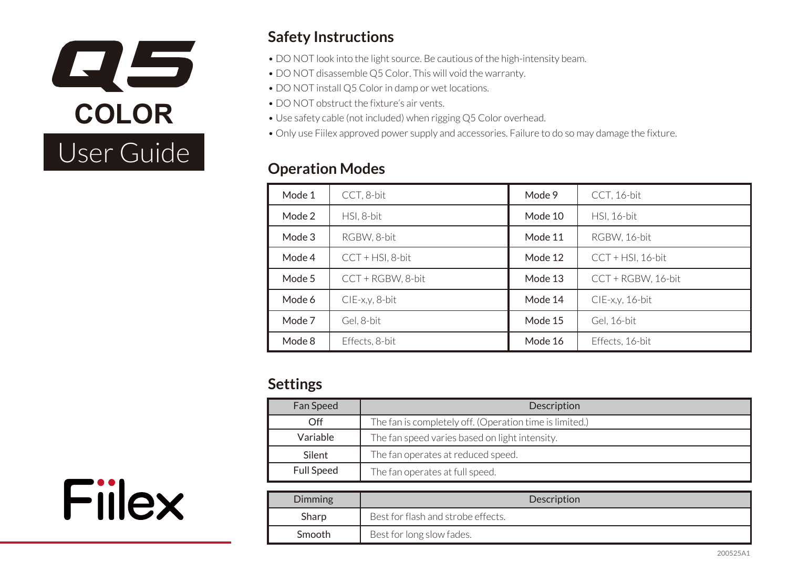

# **Safety Instructions**

- DO NOT look into the light source. Be cautious of the high-intensity beam.
- DO NOT disassemble Q5 Color. This will void the warranty.
- DO NOT install Q5 Color in damp or wet locations.
- DO NOT obstruct the fixture's air vents.
- Use safety cable (not included) when rigging Q5 Color overhead.
- Only use Fiilex approved power supply and accessories. Failure to do so may damage the fixture.

### **Operation Modes**

| Mode 1 | CCT, 8-bit          | Mode 9  | CCT, 16-bit          |
|--------|---------------------|---------|----------------------|
| Mode 2 | HSI, 8-bit          | Mode 10 | <b>HSI, 16-bit</b>   |
| Mode 3 | RGBW, 8-bit         | Mode 11 | RGBW, 16-bit         |
| Mode 4 | $CCT + HSI$ , 8-bit | Mode 12 | $CCT + HSI$ , 16-bit |
| Mode 5 | CCT + RGBW, 8-bit   | Mode 13 | $CCT + RGBW, 16-bit$ |
| Mode 6 | $CIE-x,y, 8-bit$    | Mode 14 | $CIE$ -x,y, 16-bit   |
| Mode 7 | Gel, 8-bit          | Mode 15 | Gel, 16-bit          |
| Mode 8 | Effects, 8-bit      | Mode 16 | Effects, 16-bit      |

# **Settings**

| Fan Speed         | Description                                             |
|-------------------|---------------------------------------------------------|
| Off               | The fan is completely off. (Operation time is limited.) |
| Variable          | The fan speed varies based on light intensity.          |
| <b>Silent</b>     | The fan operates at reduced speed.                      |
| <b>Full Speed</b> | The fan operates at full speed.                         |